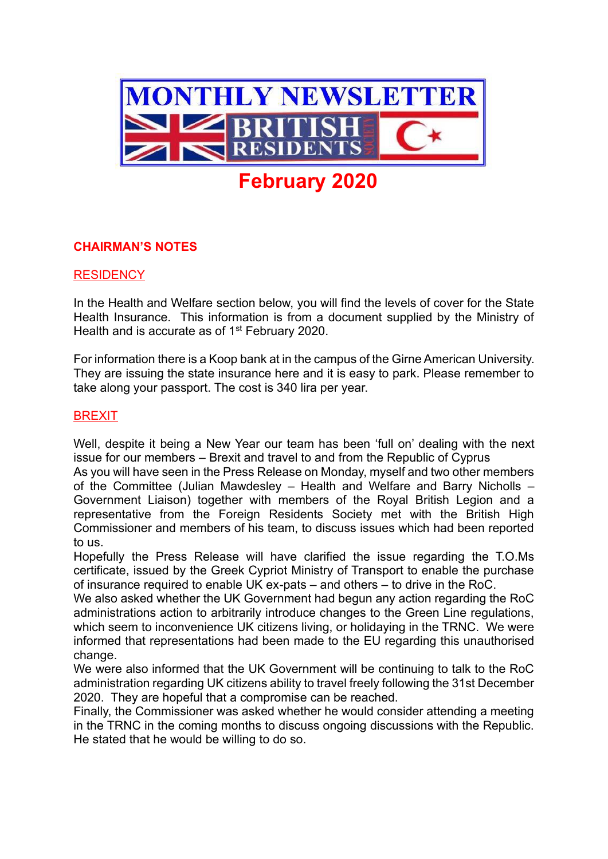

# **CHAIRMAN'S NOTES**

#### **RESIDENCY**

In the Health and Welfare section below, you will find the levels of cover for the State Health Insurance. This information is from a document supplied by the Ministry of Health and is accurate as of 1<sup>st</sup> February 2020.

For information there is a Koop bank at in the campus of the Girne American University. They are issuing the state insurance here and it is easy to park. Please remember to take along your passport. The cost is 340 lira per year.

#### BREXIT

Well, despite it being a New Year our team has been 'full on' dealing with the next issue for our members – Brexit and travel to and from the Republic of Cyprus

As you will have seen in the Press Release on Monday, myself and two other members of the Committee (Julian Mawdesley – Health and Welfare and Barry Nicholls – Government Liaison) together with members of the Royal British Legion and a representative from the Foreign Residents Society met with the British High Commissioner and members of his team, to discuss issues which had been reported to us.

Hopefully the Press Release will have clarified the issue regarding the T.O.Ms certificate, issued by the Greek Cypriot Ministry of Transport to enable the purchase of insurance required to enable UK ex-pats – and others – to drive in the RoC.

We also asked whether the UK Government had begun any action regarding the RoC administrations action to arbitrarily introduce changes to the Green Line regulations, which seem to inconvenience UK citizens living, or holidaying in the TRNC. We were informed that representations had been made to the EU regarding this unauthorised change.

We were also informed that the UK Government will be continuing to talk to the RoC administration regarding UK citizens ability to travel freely following the 31st December 2020. They are hopeful that a compromise can be reached.

Finally, the Commissioner was asked whether he would consider attending a meeting in the TRNC in the coming months to discuss ongoing discussions with the Republic. He stated that he would be willing to do so.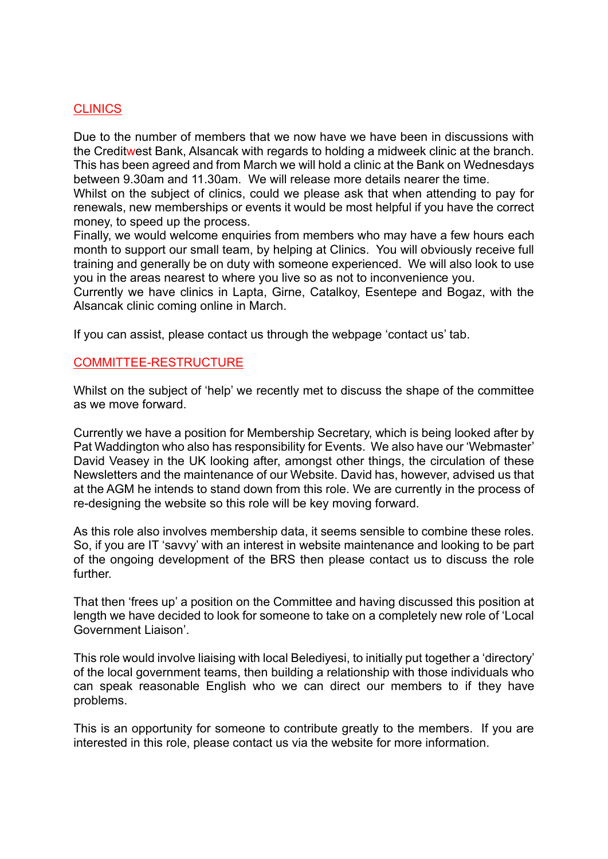## **CLINICS**

Due to the number of members that we now have we have been in discussions with the Creditwest Bank, Alsancak with regards to holding a midweek clinic at the branch. This has been agreed and from March we will hold a clinic at the Bank on Wednesdays between 9.30am and 11.30am. We will release more details nearer the time.

Whilst on the subject of clinics, could we please ask that when attending to pay for renewals, new memberships or events it would be most helpful if you have the correct money, to speed up the process.

Finally, we would welcome enquiries from members who may have a few hours each month to support our small team, by helping at Clinics. You will obviously receive full training and generally be on duty with someone experienced. We will also look to use you in the areas nearest to where you live so as not to inconvenience you.

Currently we have clinics in Lapta, Girne, Catalkoy, Esentepe and Bogaz, with the Alsancak clinic coming online in March.

If you can assist, please contact us through the webpage 'contact us' tab.

## COMMITTEE-RESTRUCTURE

Whilst on the subject of 'help' we recently met to discuss the shape of the committee as we move forward.

Currently we have a position for Membership Secretary, which is being looked after by Pat Waddington who also has responsibility for Events. We also have our 'Webmaster' David Veasey in the UK looking after, amongst other things, the circulation of these Newsletters and the maintenance of our Website. David has, however, advised us that at the AGM he intends to stand down from this role. We are currently in the process of re-designing the website so this role will be key moving forward.

As this role also involves membership data, it seems sensible to combine these roles. So, if you are IT 'savvy' with an interest in website maintenance and looking to be part of the ongoing development of the BRS then please contact us to discuss the role further.

That then 'frees up' a position on the Committee and having discussed this position at length we have decided to look for someone to take on a completely new role of 'Local Government Liaison'.

This role would involve liaising with local Belediyesi, to initially put together a 'directory' of the local government teams, then building a relationship with those individuals who can speak reasonable English who we can direct our members to if they have problems.

This is an opportunity for someone to contribute greatly to the members. If you are interested in this role, please contact us via the website for more information.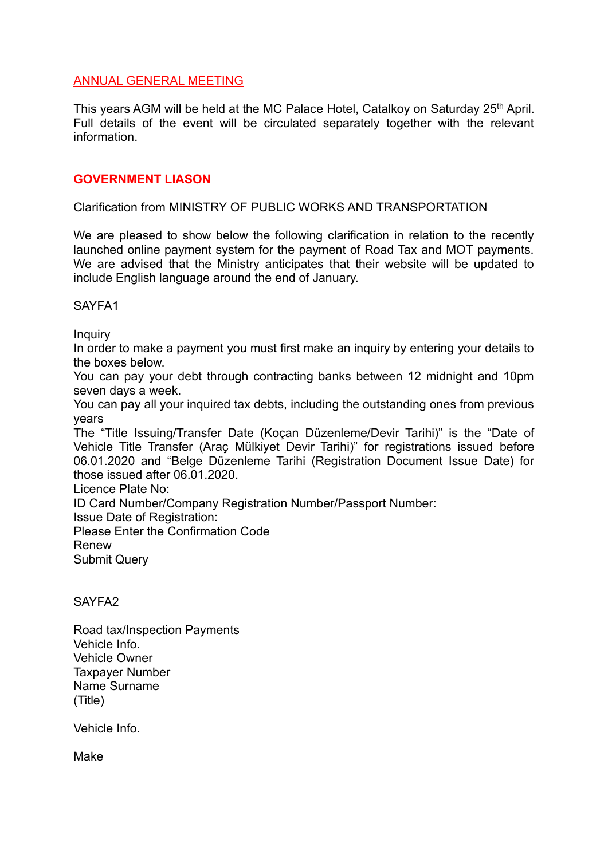## ANNUAL GENERAL MEETING

This years AGM will be held at the MC Palace Hotel, Catalkoy on Saturday 25<sup>th</sup> April. Full details of the event will be circulated separately together with the relevant information.

### **GOVERNMENT LIASON**

Clarification from MINISTRY OF PUBLIC WORKS AND TRANSPORTATION

We are pleased to show below the following clarification in relation to the recently launched online payment system for the payment of Road Tax and MOT payments. We are advised that the Ministry anticipates that their website will be updated to include English language around the end of January.

#### SAYFA1

**Inquiry** 

In order to make a payment you must first make an inquiry by entering your details to the boxes below.

You can pay your debt through contracting banks between 12 midnight and 10pm seven days a week.

You can pay all your inquired tax debts, including the outstanding ones from previous years

The "Title Issuing/Transfer Date (Koçan Düzenleme/Devir Tarihi)" is the "Date of Vehicle Title Transfer (Araç Mülkiyet Devir Tarihi)" for registrations issued before 06.01.2020 and "Belge Düzenleme Tarihi (Registration Document Issue Date) for those issued after 06.01.2020.

Licence Plate No:

ID Card Number/Company Registration Number/Passport Number:

Issue Date of Registration:

Please Enter the Confirmation Code

Renew

Submit Query

## SAYFA2

Road tax/Inspection Payments Vehicle Info. Vehicle Owner Taxpayer Number Name Surname (Title)

Vehicle Info.

Make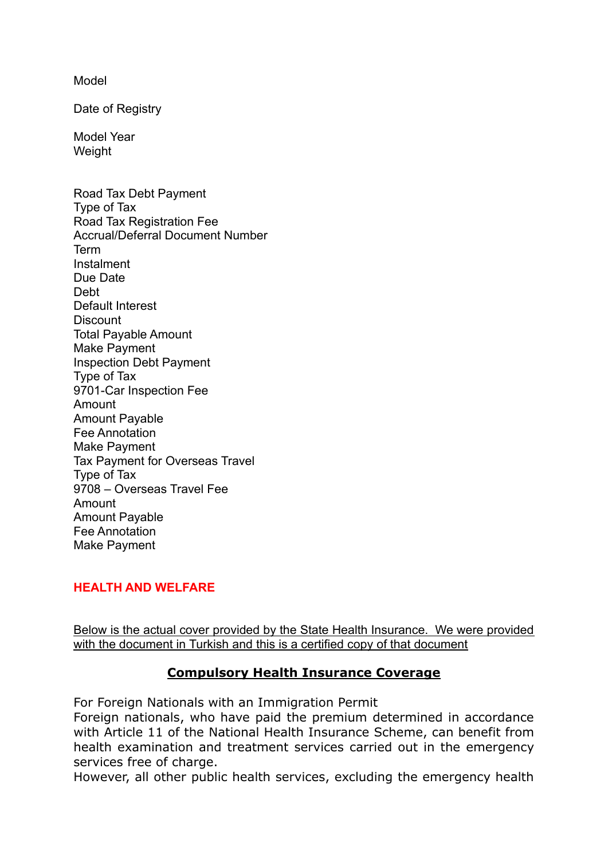Model

Date of Registry

Model Year **Weight** 

Road Tax Debt Payment Type of Tax Road Tax Registration Fee Accrual/Deferral Document Number Term Instalment Due Date Debt Default Interest **Discount** Total Payable Amount Make Payment Inspection Debt Payment Type of Tax 9701-Car Inspection Fee Amount Amount Payable Fee Annotation Make Payment Tax Payment for Overseas Travel Type of Tax 9708 – Overseas Travel Fee Amount Amount Payable Fee Annotation Make Payment

## **HEALTH AND WELFARE**

Below is the actual cover provided by the State Health Insurance. We were provided with the document in Turkish and this is a certified copy of that document

# **Compulsory Health Insurance Coverage**

For Foreign Nationals with an Immigration Permit

Foreign nationals, who have paid the premium determined in accordance with Article 11 of the National Health Insurance Scheme, can benefit from health examination and treatment services carried out in the emergency services free of charge.

However, all other public health services, excluding the emergency health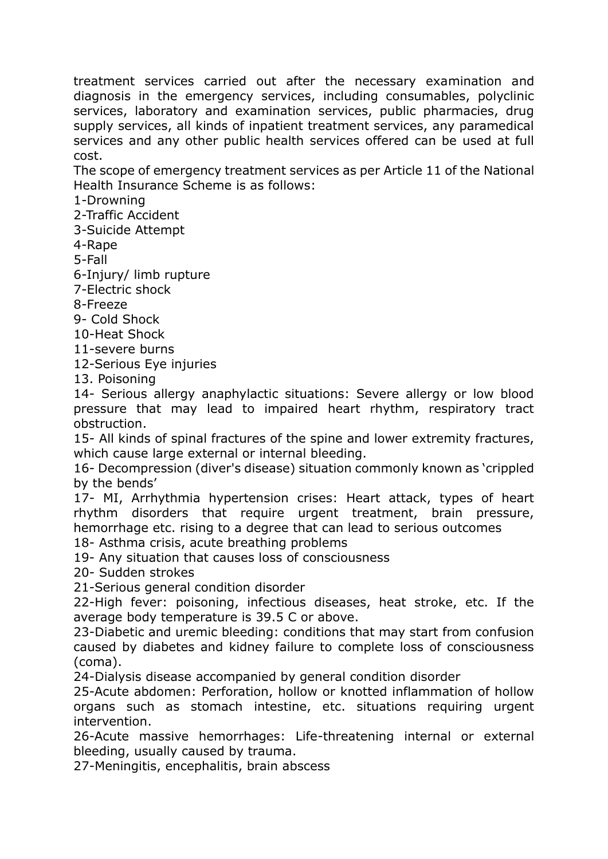treatment services carried out after the necessary examination and diagnosis in the emergency services, including consumables, polyclinic services, laboratory and examination services, public pharmacies, drug supply services, all kinds of inpatient treatment services, any paramedical services and any other public health services offered can be used at full cost.

The scope of emergency treatment services as per Article 11 of the National Health Insurance Scheme is as follows:

1-Drowning

2-Traffic Accident

3-Suicide Attempt

4-Rape

5-Fall

6-Injury/ limb rupture

7-Electric shock

8-Freeze

9- Cold Shock

10-Heat Shock

11-severe burns

12-Serious Eye injuries

13. Poisoning

14- Serious allergy anaphylactic situations: Severe allergy or low blood pressure that may lead to impaired heart rhythm, respiratory tract obstruction.

15- All kinds of spinal fractures of the spine and lower extremity fractures, which cause large external or internal bleeding.

16- Decompression (diver's disease) situation commonly known as 'crippled by the bends'

17- MI, Arrhythmia hypertension crises: Heart attack, types of heart rhythm disorders that require urgent treatment, brain pressure, hemorrhage etc. rising to a degree that can lead to serious outcomes

18- Asthma crisis, acute breathing problems

19- Any situation that causes loss of consciousness

20- Sudden strokes

21-Serious general condition disorder

22-High fever: poisoning, infectious diseases, heat stroke, etc. If the average body temperature is 39.5 C or above.

23-Diabetic and uremic bleeding: conditions that may start from confusion caused by diabetes and kidney failure to complete loss of consciousness (coma).

24-Dialysis disease accompanied by general condition disorder

25-Acute abdomen: Perforation, hollow or knotted inflammation of hollow organs such as stomach intestine, etc. situations requiring urgent intervention.

26-Acute massive hemorrhages: Life-threatening internal or external bleeding, usually caused by trauma.

27-Meningitis, encephalitis, brain abscess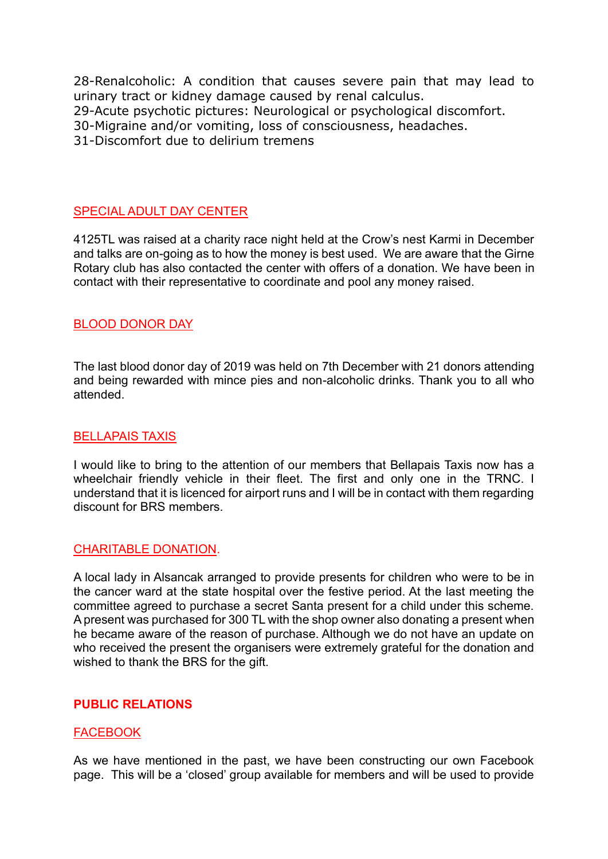28-Renalcoholic: A condition that causes severe pain that may lead to urinary tract or kidney damage caused by [renal calculus.](https://tureng.com/en/turkish-english/renal%20calculus) 29-Acute psychotic pictures: Neurological or psychological discomfort. 30-Migraine and/or vomiting, loss of consciousness, headaches. 31-Discomfort due to delirium tremens

## SPECIAL ADULT DAY CENTER

4125TL was raised at a charity race night held at the Crow's nest Karmi in December and talks are on-going as to how the money is best used. We are aware that the Girne Rotary club has also contacted the center with offers of a donation. We have been in contact with their representative to coordinate and pool any money raised.

#### BLOOD DONOR DAY

The last blood donor day of 2019 was held on 7th December with 21 donors attending and being rewarded with mince pies and non-alcoholic drinks. Thank you to all who attended.

#### BELLAPAIS TAXIS

I would like to bring to the attention of our members that Bellapais Taxis now has a wheelchair friendly vehicle in their fleet. The first and only one in the TRNC. I understand that it is licenced for airport runs and I will be in contact with them regarding discount for BRS members.

#### CHARITABLE DONATION.

A local lady in Alsancak arranged to provide presents for children who were to be in the cancer ward at the state hospital over the festive period. At the last meeting the committee agreed to purchase a secret Santa present for a child under this scheme. A present was purchased for 300 TL with the shop owner also donating a present when he became aware of the reason of purchase. Although we do not have an update on who received the present the organisers were extremely grateful for the donation and wished to thank the BRS for the gift.

## **PUBLIC RELATIONS**

#### **FACEBOOK**

As we have mentioned in the past, we have been constructing our own Facebook page. This will be a 'closed' group available for members and will be used to provide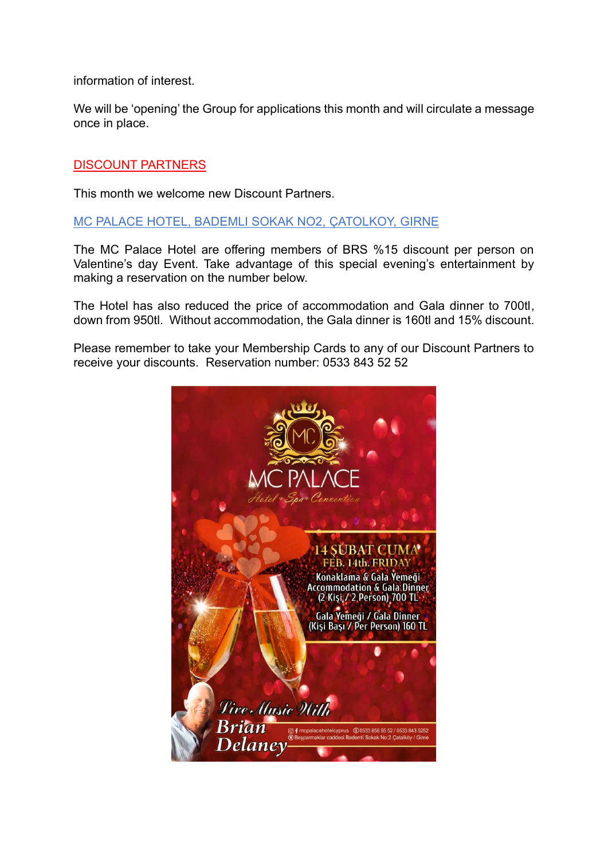information of interest.

We will be 'opening' the Group for applications this month and will circulate a message once in place.

## DISCOUNT PARTNERS

This month we welcome new Discount Partners.

## MC PALACE HOTEL, BADEMLI SOKAK NO2, ÇATOLKOY, GIRNE

The MC Palace Hotel are offering members of BRS %15 discount per person on Valentine's day Event. Take advantage of this special evening's entertainment by making a reservation on the number below.

The Hotel has also reduced the price of accommodation and Gala dinner to 700tl, down from 950tl. Without accommodation, the Gala dinner is 160tl and 15% discount.

Please remember to take your Membership Cards to any of our Discount Partners to receive your discounts. Reservation number: 0533 843 52 52

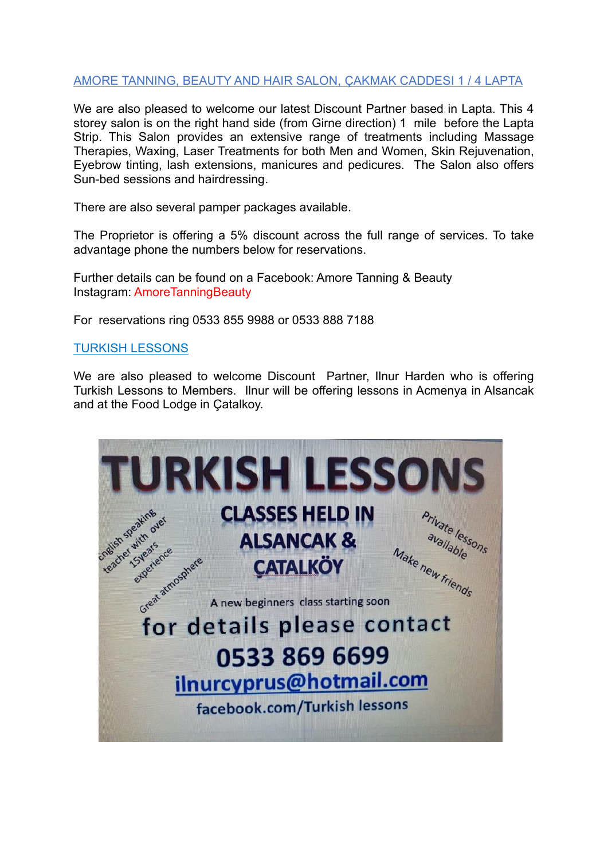# AMORE TANNING, BEAUTY AND HAIR SALON, ÇAKMAK CADDESI 1 / 4 LAPTA

We are also pleased to welcome our latest Discount Partner based in Lapta. This 4 storey salon is on the right hand side (from Girne direction) 1 mile before the Lapta Strip. This Salon provides an extensive range of treatments including Massage Therapies, Waxing, Laser Treatments for both Men and Women, Skin Rejuvenation, Eyebrow tinting, lash extensions, manicures and pedicures. The Salon also offers Sun-bed sessions and hairdressing.

There are also several pamper packages available.

The Proprietor is offering a 5% discount across the full range of services. To take advantage phone the numbers below for reservations.

Further details can be found on a Facebook: Amore Tanning & Beauty Instagram: AmoreTanningBeauty

For reservations ring 0533 855 9988 or 0533 888 7188

## TURKISH LESSONS

We are also pleased to welcome Discount Partner, Ilnur Harden who is offering Turkish Lessons to Members. Ilnur will be offering lessons in Acmenya in Alsancak and at the Food Lodge in Çatalkoy.